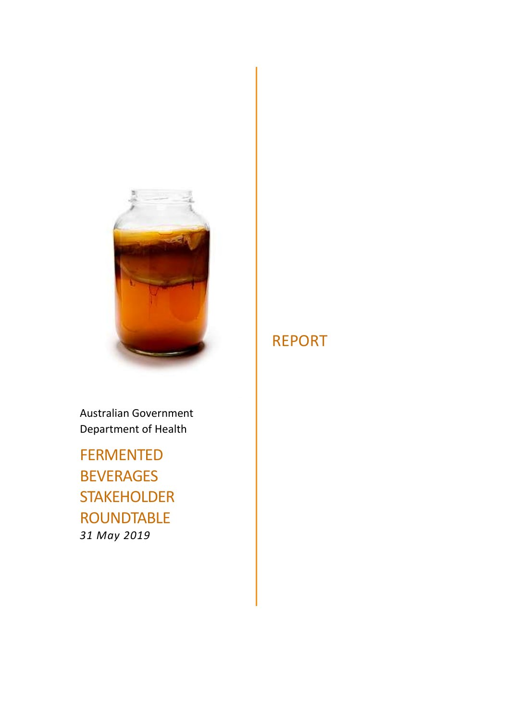

Australian Government Department of Health

FERMENTED BEVERAGES STAKEHOLDER ROUNDTABLE 31 May 2019

# REPORT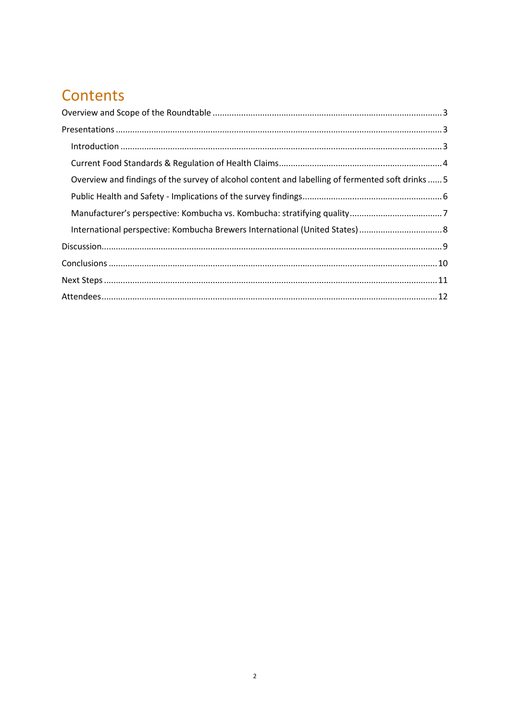# Contents

| Overview and findings of the survey of alcohol content and labelling of fermented soft drinks  5 |  |
|--------------------------------------------------------------------------------------------------|--|
|                                                                                                  |  |
|                                                                                                  |  |
|                                                                                                  |  |
|                                                                                                  |  |
|                                                                                                  |  |
|                                                                                                  |  |
|                                                                                                  |  |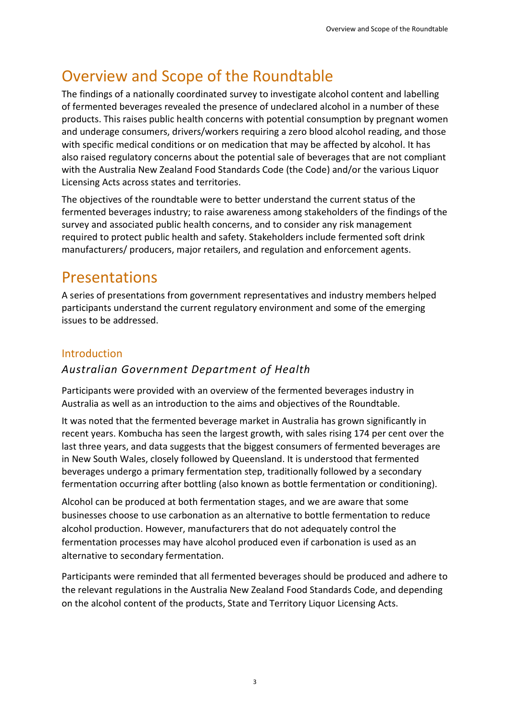# Overview and Scope of the Roundtable

The findings of a nationally coordinated survey to investigate alcohol content and labelling of fermented beverages revealed the presence of undeclared alcohol in a number of these products. This raises public health concerns with potential consumption by pregnant women and underage consumers, drivers/workers requiring a zero blood alcohol reading, and those with specific medical conditions or on medication that may be affected by alcohol. It has also raised regulatory concerns about the potential sale of beverages that are not compliant with the Australia New Zealand Food Standards Code (the Code) and/or the various Liquor Licensing Acts across states and territories.

The objectives of the roundtable were to better understand the current status of the fermented beverages industry; to raise awareness among stakeholders of the findings of the survey and associated public health concerns, and to consider any risk management required to protect public health and safety. Stakeholders include fermented soft drink manufacturers/ producers, major retailers, and regulation and enforcement agents.

# Presentations

A series of presentations from government representatives and industry members helped participants understand the current regulatory environment and some of the emerging issues to be addressed.

### Introduction

### Australian Government Department of Health

Participants were provided with an overview of the fermented beverages industry in Australia as well as an introduction to the aims and objectives of the Roundtable.

It was noted that the fermented beverage market in Australia has grown significantly in recent years. Kombucha has seen the largest growth, with sales rising 174 per cent over the last three years, and data suggests that the biggest consumers of fermented beverages are in New South Wales, closely followed by Queensland. It is understood that fermented beverages undergo a primary fermentation step, traditionally followed by a secondary fermentation occurring after bottling (also known as bottle fermentation or conditioning).

Alcohol can be produced at both fermentation stages, and we are aware that some businesses choose to use carbonation as an alternative to bottle fermentation to reduce alcohol production. However, manufacturers that do not adequately control the fermentation processes may have alcohol produced even if carbonation is used as an alternative to secondary fermentation.

Participants were reminded that all fermented beverages should be produced and adhere to the relevant regulations in the Australia New Zealand Food Standards Code, and depending on the alcohol content of the products, State and Territory Liquor Licensing Acts.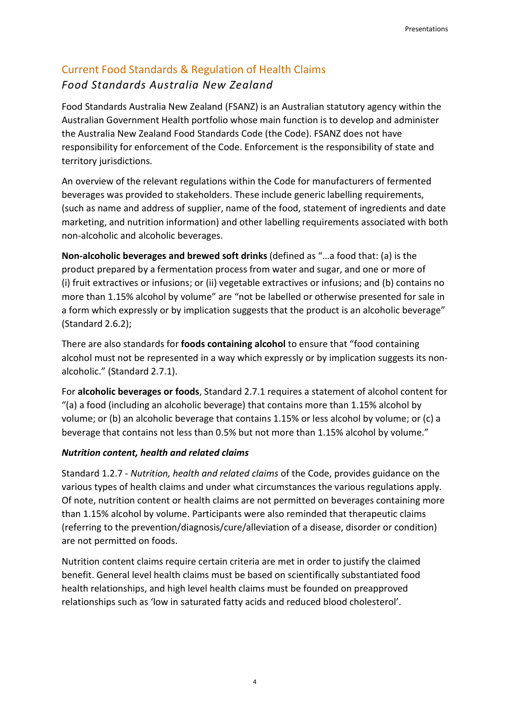### Current Food Standards & Regulation of Health Claims Food Standards Australia New Zealand

Food Standards Australia New Zealand (FSANZ) is an Australian statutory agency within the Australian Government Health portfolio whose main function is to develop and administer the Australia New Zealand Food Standards Code (the Code). FSANZ does not have responsibility for enforcement of the Code. Enforcement is the responsibility of state and territory jurisdictions.

An overview of the relevant regulations within the Code for manufacturers of fermented beverages was provided to stakeholders. These include generic labelling requirements, (such as name and address of supplier, name of the food, statement of ingredients and date marketing, and nutrition information) and other labelling requirements associated with both non-alcoholic and alcoholic beverages.

Non-alcoholic beverages and brewed soft drinks (defined as "…a food that: (a) is the product prepared by a fermentation process from water and sugar, and one or more of (i) fruit extractives or infusions; or (ii) vegetable extractives or infusions; and (b) contains no more than 1.15% alcohol by volume" are "not be labelled or otherwise presented for sale in a form which expressly or by implication suggests that the product is an alcoholic beverage" (Standard 2.6.2);

There are also standards for foods containing alcohol to ensure that "food containing alcohol must not be represented in a way which expressly or by implication suggests its nonalcoholic." (Standard 2.7.1).

For alcoholic beverages or foods, Standard 2.7.1 requires a statement of alcohol content for "(a) a food (including an alcoholic beverage) that contains more than 1.15% alcohol by volume; or (b) an alcoholic beverage that contains 1.15% or less alcohol by volume; or (c) a beverage that contains not less than 0.5% but not more than 1.15% alcohol by volume."

#### Nutrition content, health and related claims

Standard 1.2.7 - Nutrition, health and related claims of the Code, provides guidance on the various types of health claims and under what circumstances the various regulations apply. Of note, nutrition content or health claims are not permitted on beverages containing more than 1.15% alcohol by volume. Participants were also reminded that therapeutic claims (referring to the prevention/diagnosis/cure/alleviation of a disease, disorder or condition) are not permitted on foods.

Nutrition content claims require certain criteria are met in order to justify the claimed benefit. General level health claims must be based on scientifically substantiated food health relationships, and high level health claims must be founded on preapproved relationships such as 'low in saturated fatty acids and reduced blood cholesterol'.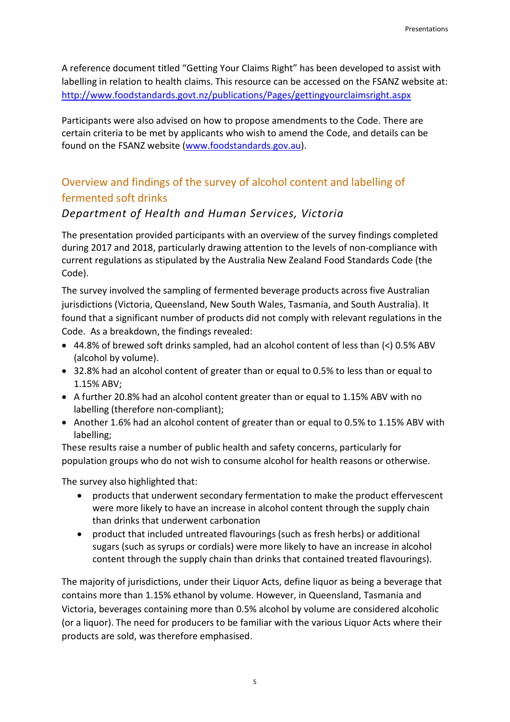A reference document titled "Getting Your Claims Right" has been developed to assist with labelling in relation to health claims. This resource can be accessed on the FSANZ website at: http://www.foodstandards.govt.nz/publications/Pages/gettingyourclaimsright.aspx

Participants were also advised on how to propose amendments to the Code. There are certain criteria to be met by applicants who wish to amend the Code, and details can be found on the FSANZ website (www.foodstandards.gov.au).

## Overview and findings of the survey of alcohol content and labelling of fermented soft drinks

#### Department of Health and Human Services, Victoria

The presentation provided participants with an overview of the survey findings completed during 2017 and 2018, particularly drawing attention to the levels of non-compliance with current regulations as stipulated by the Australia New Zealand Food Standards Code (the Code).

The survey involved the sampling of fermented beverage products across five Australian jurisdictions (Victoria, Queensland, New South Wales, Tasmania, and South Australia). It found that a significant number of products did not comply with relevant regulations in the Code. As a breakdown, the findings revealed:

- 44.8% of brewed soft drinks sampled, had an alcohol content of less than (<) 0.5% ABV (alcohol by volume).
- 32.8% had an alcohol content of greater than or equal to 0.5% to less than or equal to 1.15% ABV;
- A further 20.8% had an alcohol content greater than or equal to 1.15% ABV with no labelling (therefore non-compliant);
- Another 1.6% had an alcohol content of greater than or equal to 0.5% to 1.15% ABV with labelling;

These results raise a number of public health and safety concerns, particularly for population groups who do not wish to consume alcohol for health reasons or otherwise.

The survey also highlighted that:

- products that underwent secondary fermentation to make the product effervescent were more likely to have an increase in alcohol content through the supply chain than drinks that underwent carbonation
- product that included untreated flavourings (such as fresh herbs) or additional sugars (such as syrups or cordials) were more likely to have an increase in alcohol content through the supply chain than drinks that contained treated flavourings).

The majority of jurisdictions, under their Liquor Acts, define liquor as being a beverage that contains more than 1.15% ethanol by volume. However, in Queensland, Tasmania and Victoria, beverages containing more than 0.5% alcohol by volume are considered alcoholic (or a liquor). The need for producers to be familiar with the various Liquor Acts where their products are sold, was therefore emphasised.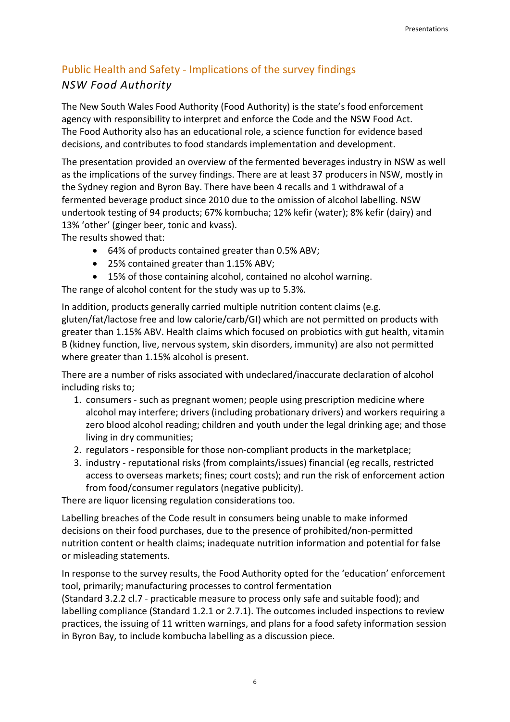### Public Health and Safety - Implications of the survey findings NSW Food Authority

The New South Wales Food Authority (Food Authority) is the state's food enforcement agency with responsibility to interpret and enforce the Code and the NSW Food Act. The Food Authority also has an educational role, a science function for evidence based decisions, and contributes to food standards implementation and development.

The presentation provided an overview of the fermented beverages industry in NSW as well as the implications of the survey findings. There are at least 37 producers in NSW, mostly in the Sydney region and Byron Bay. There have been 4 recalls and 1 withdrawal of a fermented beverage product since 2010 due to the omission of alcohol labelling. NSW undertook testing of 94 products; 67% kombucha; 12% kefir (water); 8% kefir (dairy) and 13% 'other' (ginger beer, tonic and kvass).

The results showed that:

- 64% of products contained greater than 0.5% ABV;
- 25% contained greater than 1.15% ABV;
- 15% of those containing alcohol, contained no alcohol warning.

The range of alcohol content for the study was up to 5.3%.

In addition, products generally carried multiple nutrition content claims (e.g. gluten/fat/lactose free and low calorie/carb/GI) which are not permitted on products with greater than 1.15% ABV. Health claims which focused on probiotics with gut health, vitamin B (kidney function, live, nervous system, skin disorders, immunity) are also not permitted where greater than 1.15% alcohol is present.

There are a number of risks associated with undeclared/inaccurate declaration of alcohol including risks to;

- 1. consumers such as pregnant women; people using prescription medicine where alcohol may interfere; drivers (including probationary drivers) and workers requiring a zero blood alcohol reading; children and youth under the legal drinking age; and those living in dry communities;
- 2. regulators responsible for those non-compliant products in the marketplace;
- 3. industry reputational risks (from complaints/issues) financial (eg recalls, restricted access to overseas markets; fines; court costs); and run the risk of enforcement action from food/consumer regulators (negative publicity).

There are liquor licensing regulation considerations too.

Labelling breaches of the Code result in consumers being unable to make informed decisions on their food purchases, due to the presence of prohibited/non-permitted nutrition content or health claims; inadequate nutrition information and potential for false or misleading statements.

In response to the survey results, the Food Authority opted for the 'education' enforcement tool, primarily; manufacturing processes to control fermentation (Standard 3.2.2 cl.7 - practicable measure to process only safe and suitable food); and

labelling compliance (Standard 1.2.1 or 2.7.1). The outcomes included inspections to review practices, the issuing of 11 written warnings, and plans for a food safety information session in Byron Bay, to include kombucha labelling as a discussion piece.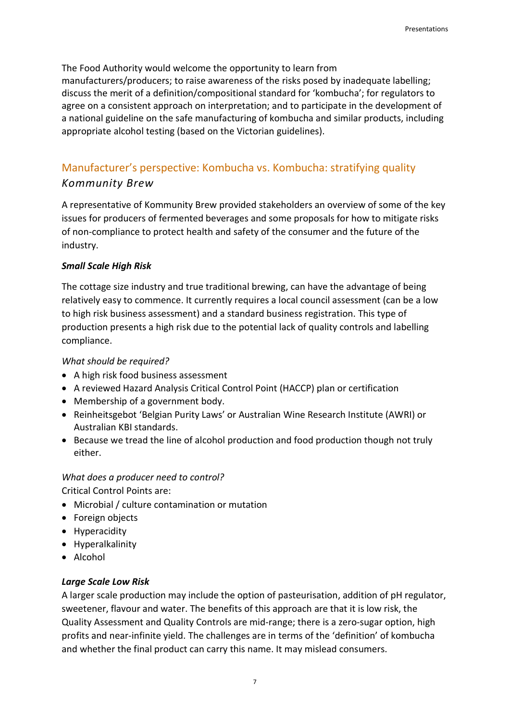The Food Authority would welcome the opportunity to learn from manufacturers/producers; to raise awareness of the risks posed by inadequate labelling; discuss the merit of a definition/compositional standard for 'kombucha'; for regulators to agree on a consistent approach on interpretation; and to participate in the development of a national guideline on the safe manufacturing of kombucha and similar products, including appropriate alcohol testing (based on the Victorian guidelines).

## Manufacturer's perspective: Kombucha vs. Kombucha: stratifying quality Kommunity Brew

A representative of Kommunity Brew provided stakeholders an overview of some of the key issues for producers of fermented beverages and some proposals for how to mitigate risks of non-compliance to protect health and safety of the consumer and the future of the industry.

#### Small Scale High Risk

The cottage size industry and true traditional brewing, can have the advantage of being relatively easy to commence. It currently requires a local council assessment (can be a low to high risk business assessment) and a standard business registration. This type of production presents a high risk due to the potential lack of quality controls and labelling compliance.

#### What should be required?

- A high risk food business assessment
- A reviewed Hazard Analysis Critical Control Point (HACCP) plan or certification
- Membership of a government body.
- Reinheitsgebot 'Belgian Purity Laws' or Australian Wine Research Institute (AWRI) or Australian KBI standards.
- Because we tread the line of alcohol production and food production though not truly either.

#### What does a producer need to control?

Critical Control Points are:

- Microbial / culture contamination or mutation
- Foreign objects
- Hyperacidity
- Hyperalkalinity
- Alcohol

#### Large Scale Low Risk

A larger scale production may include the option of pasteurisation, addition of pH regulator, sweetener, flavour and water. The benefits of this approach are that it is low risk, the Quality Assessment and Quality Controls are mid-range; there is a zero-sugar option, high profits and near-infinite yield. The challenges are in terms of the 'definition' of kombucha and whether the final product can carry this name. It may mislead consumers.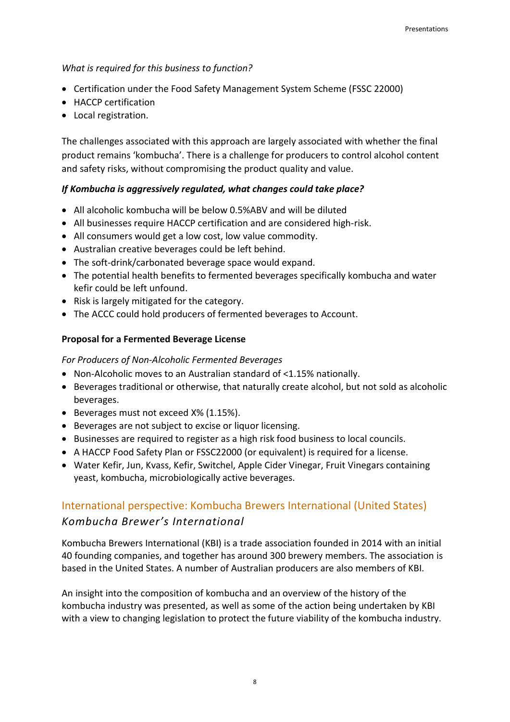#### What is required for this business to function?

- Certification under the Food Safety Management System Scheme (FSSC 22000)
- HACCP certification
- Local registration.

The challenges associated with this approach are largely associated with whether the final product remains 'kombucha'. There is a challenge for producers to control alcohol content and safety risks, without compromising the product quality and value.

#### If Kombucha is aggressively regulated, what changes could take place?

- All alcoholic kombucha will be below 0.5%ABV and will be diluted
- All businesses require HACCP certification and are considered high-risk.
- All consumers would get a low cost, low value commodity.
- Australian creative beverages could be left behind.
- The soft-drink/carbonated beverage space would expand.
- The potential health benefits to fermented beverages specifically kombucha and water kefir could be left unfound.
- Risk is largely mitigated for the category.
- The ACCC could hold producers of fermented beverages to Account.

#### Proposal for a Fermented Beverage License

For Producers of Non-Alcoholic Fermented Beverages

- Non-Alcoholic moves to an Australian standard of <1.15% nationally.
- Beverages traditional or otherwise, that naturally create alcohol, but not sold as alcoholic beverages.
- Beverages must not exceed X% (1.15%).
- Beverages are not subject to excise or liquor licensing.
- Businesses are required to register as a high risk food business to local councils.
- A HACCP Food Safety Plan or FSSC22000 (or equivalent) is required for a license.
- Water Kefir, Jun, Kvass, Kefir, Switchel, Apple Cider Vinegar, Fruit Vinegars containing yeast, kombucha, microbiologically active beverages.

### International perspective: Kombucha Brewers International (United States) Kombucha Brewer's International

Kombucha Brewers International (KBI) is a trade association founded in 2014 with an initial 40 founding companies, and together has around 300 brewery members. The association is based in the United States. A number of Australian producers are also members of KBI.

An insight into the composition of kombucha and an overview of the history of the kombucha industry was presented, as well as some of the action being undertaken by KBI with a view to changing legislation to protect the future viability of the kombucha industry.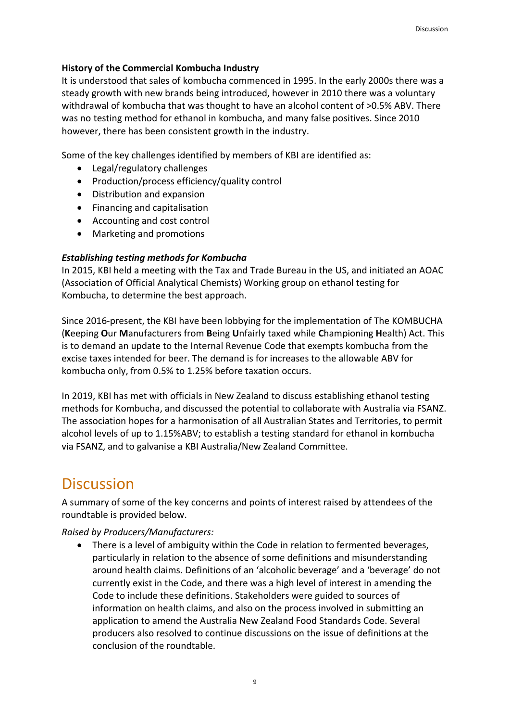#### History of the Commercial Kombucha Industry

It is understood that sales of kombucha commenced in 1995. In the early 2000s there was a steady growth with new brands being introduced, however in 2010 there was a voluntary withdrawal of kombucha that was thought to have an alcohol content of >0.5% ABV. There was no testing method for ethanol in kombucha, and many false positives. Since 2010 however, there has been consistent growth in the industry.

Some of the key challenges identified by members of KBI are identified as:

- Legal/regulatory challenges
- Production/process efficiency/quality control
- Distribution and expansion
- Financing and capitalisation
- Accounting and cost control
- Marketing and promotions

#### Establishing testing methods for Kombucha

In 2015, KBI held a meeting with the Tax and Trade Bureau in the US, and initiated an AOAC (Association of Official Analytical Chemists) Working group on ethanol testing for Kombucha, to determine the best approach.

Since 2016-present, the KBI have been lobbying for the implementation of The KOMBUCHA (Keeping Our Manufacturers from Being Unfairly taxed while Championing Health) Act. This is to demand an update to the Internal Revenue Code that exempts kombucha from the excise taxes intended for beer. The demand is for increases to the allowable ABV for kombucha only, from 0.5% to 1.25% before taxation occurs.

In 2019, KBI has met with officials in New Zealand to discuss establishing ethanol testing methods for Kombucha, and discussed the potential to collaborate with Australia via FSANZ. The association hopes for a harmonisation of all Australian States and Territories, to permit alcohol levels of up to 1.15%ABV; to establish a testing standard for ethanol in kombucha via FSANZ, and to galvanise a KBI Australia/New Zealand Committee.

## **Discussion**

A summary of some of the key concerns and points of interest raised by attendees of the roundtable is provided below.

Raised by Producers/Manufacturers:

 There is a level of ambiguity within the Code in relation to fermented beverages, particularly in relation to the absence of some definitions and misunderstanding around health claims. Definitions of an 'alcoholic beverage' and a 'beverage' do not currently exist in the Code, and there was a high level of interest in amending the Code to include these definitions. Stakeholders were guided to sources of information on health claims, and also on the process involved in submitting an application to amend the Australia New Zealand Food Standards Code. Several producers also resolved to continue discussions on the issue of definitions at the conclusion of the roundtable.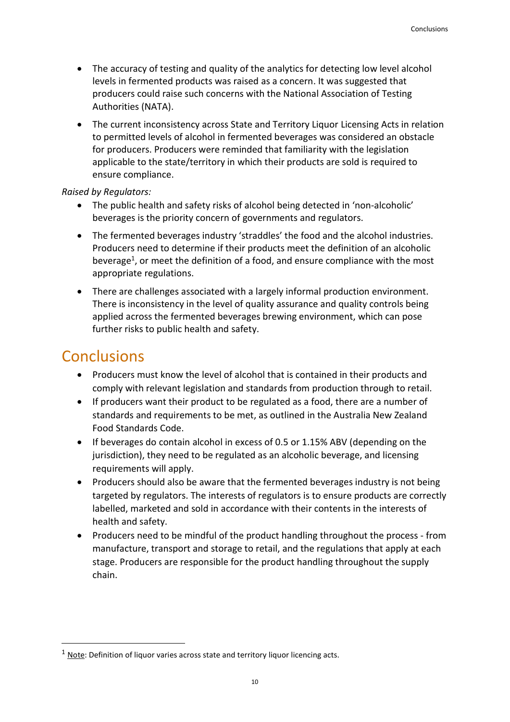- The accuracy of testing and quality of the analytics for detecting low level alcohol levels in fermented products was raised as a concern. It was suggested that producers could raise such concerns with the National Association of Testing Authorities (NATA).
- The current inconsistency across State and Territory Liquor Licensing Acts in relation to permitted levels of alcohol in fermented beverages was considered an obstacle for producers. Producers were reminded that familiarity with the legislation applicable to the state/territory in which their products are sold is required to ensure compliance.

#### Raised by Regulators:

- The public health and safety risks of alcohol being detected in 'non-alcoholic' beverages is the priority concern of governments and regulators.
- The fermented beverages industry 'straddles' the food and the alcohol industries. Producers need to determine if their products meet the definition of an alcoholic beverage<sup>1</sup>, or meet the definition of a food, and ensure compliance with the most appropriate regulations.
- There are challenges associated with a largely informal production environment. There is inconsistency in the level of quality assurance and quality controls being applied across the fermented beverages brewing environment, which can pose further risks to public health and safety.

## **Conclusions**

-

- Producers must know the level of alcohol that is contained in their products and comply with relevant legislation and standards from production through to retail.
- If producers want their product to be regulated as a food, there are a number of standards and requirements to be met, as outlined in the Australia New Zealand Food Standards Code.
- If beverages do contain alcohol in excess of 0.5 or 1.15% ABV (depending on the jurisdiction), they need to be regulated as an alcoholic beverage, and licensing requirements will apply.
- Producers should also be aware that the fermented beverages industry is not being targeted by regulators. The interests of regulators is to ensure products are correctly labelled, marketed and sold in accordance with their contents in the interests of health and safety.
- Producers need to be mindful of the product handling throughout the process from manufacture, transport and storage to retail, and the regulations that apply at each stage. Producers are responsible for the product handling throughout the supply chain.

 $1$  Note: Definition of liquor varies across state and territory liquor licencing acts.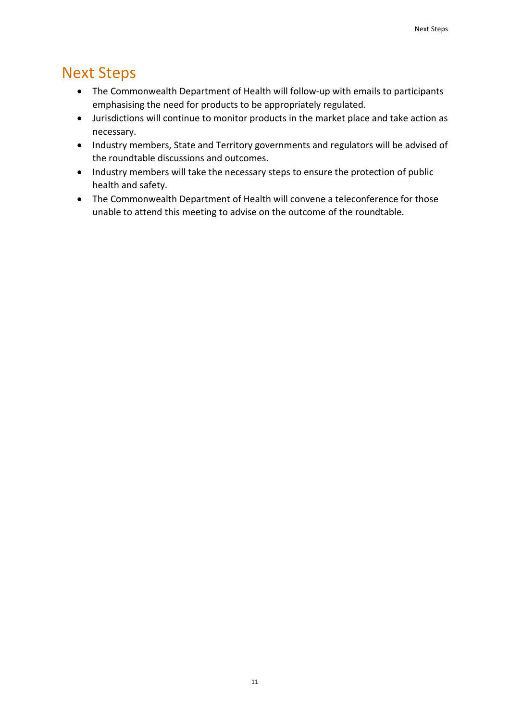## Next Steps

- The Commonwealth Department of Health will follow-up with emails to participants emphasising the need for products to be appropriately regulated.
- Jurisdictions will continue to monitor products in the market place and take action as necessary.
- Industry members, State and Territory governments and regulators will be advised of the roundtable discussions and outcomes.
- Industry members will take the necessary steps to ensure the protection of public health and safety.
- The Commonwealth Department of Health will convene a teleconference for those unable to attend this meeting to advise on the outcome of the roundtable.